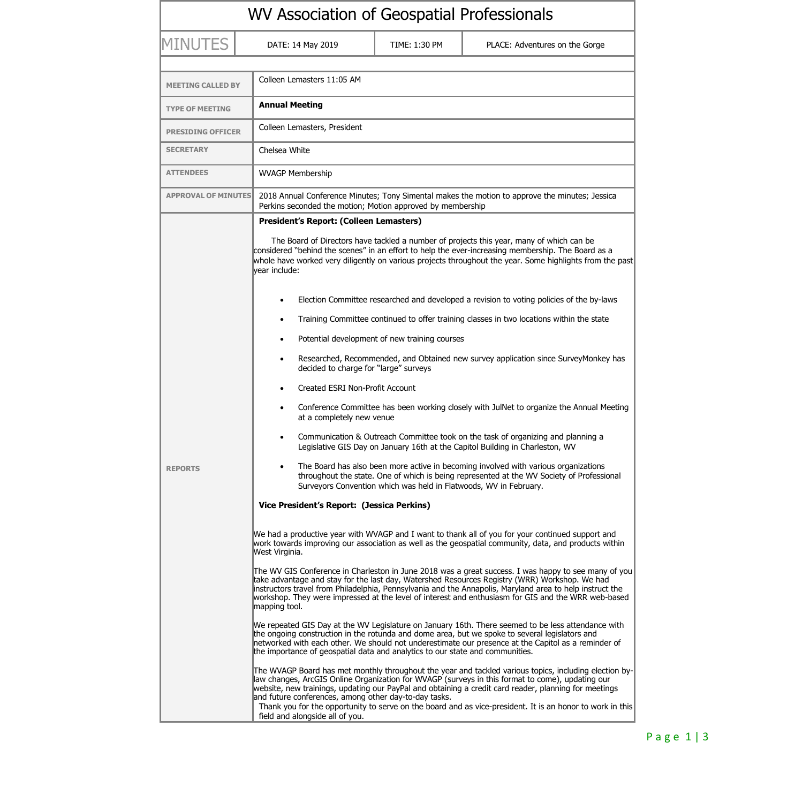| WV Association of Geospatial Professionals |                                                                                                                                                                                                                                                                                                                                                                                                                                                                                                                                                                                                                                                                                                                                                                                                                                                                                                                                                                                                                                                                                                                                                                                                                                                                                                                                                                                                                                                                                                                                                                                                                                                         |               |                                |  |  |  |
|--------------------------------------------|---------------------------------------------------------------------------------------------------------------------------------------------------------------------------------------------------------------------------------------------------------------------------------------------------------------------------------------------------------------------------------------------------------------------------------------------------------------------------------------------------------------------------------------------------------------------------------------------------------------------------------------------------------------------------------------------------------------------------------------------------------------------------------------------------------------------------------------------------------------------------------------------------------------------------------------------------------------------------------------------------------------------------------------------------------------------------------------------------------------------------------------------------------------------------------------------------------------------------------------------------------------------------------------------------------------------------------------------------------------------------------------------------------------------------------------------------------------------------------------------------------------------------------------------------------------------------------------------------------------------------------------------------------|---------------|--------------------------------|--|--|--|
| <b>MINUTES</b>                             | DATE: 14 May 2019                                                                                                                                                                                                                                                                                                                                                                                                                                                                                                                                                                                                                                                                                                                                                                                                                                                                                                                                                                                                                                                                                                                                                                                                                                                                                                                                                                                                                                                                                                                                                                                                                                       | TIME: 1:30 PM | PLACE: Adventures on the Gorge |  |  |  |
| <b>MEETING CALLED BY</b>                   | Colleen Lemasters 11:05 AM                                                                                                                                                                                                                                                                                                                                                                                                                                                                                                                                                                                                                                                                                                                                                                                                                                                                                                                                                                                                                                                                                                                                                                                                                                                                                                                                                                                                                                                                                                                                                                                                                              |               |                                |  |  |  |
| <b>TYPE OF MEETING</b>                     | <b>Annual Meeting</b>                                                                                                                                                                                                                                                                                                                                                                                                                                                                                                                                                                                                                                                                                                                                                                                                                                                                                                                                                                                                                                                                                                                                                                                                                                                                                                                                                                                                                                                                                                                                                                                                                                   |               |                                |  |  |  |
| <b>PRESIDING OFFICER</b>                   | Colleen Lemasters, President                                                                                                                                                                                                                                                                                                                                                                                                                                                                                                                                                                                                                                                                                                                                                                                                                                                                                                                                                                                                                                                                                                                                                                                                                                                                                                                                                                                                                                                                                                                                                                                                                            |               |                                |  |  |  |
| <b>SECRETARY</b>                           | Chelsea White                                                                                                                                                                                                                                                                                                                                                                                                                                                                                                                                                                                                                                                                                                                                                                                                                                                                                                                                                                                                                                                                                                                                                                                                                                                                                                                                                                                                                                                                                                                                                                                                                                           |               |                                |  |  |  |
| <b>ATTENDEES</b>                           | <b>WVAGP Membership</b>                                                                                                                                                                                                                                                                                                                                                                                                                                                                                                                                                                                                                                                                                                                                                                                                                                                                                                                                                                                                                                                                                                                                                                                                                                                                                                                                                                                                                                                                                                                                                                                                                                 |               |                                |  |  |  |
| <b>APPROVAL OF MINUTES</b>                 | 2018 Annual Conference Minutes; Tony Simental makes the motion to approve the minutes; Jessica<br>Perkins seconded the motion; Motion approved by membership                                                                                                                                                                                                                                                                                                                                                                                                                                                                                                                                                                                                                                                                                                                                                                                                                                                                                                                                                                                                                                                                                                                                                                                                                                                                                                                                                                                                                                                                                            |               |                                |  |  |  |
| <b>REPORTS</b>                             | The Board of Directors have tackled a number of projects this year, many of which can be<br>considered "behind the scenes" in an effort to help the ever-increasing membership. The Board as a<br>whole have worked very diligently on various projects throughout the year. Some highlights from the past<br>vear include:<br>Election Committee researched and developed a revision to voting policies of the by-laws<br>٠<br>Training Committee continued to offer training classes in two locations within the state<br>$\bullet$<br>Potential development of new training courses<br>٠<br>Researched, Recommended, and Obtained new survey application since SurveyMonkey has<br>٠<br>decided to charge for "large" surveys<br>Created ESRI Non-Profit Account<br>Conference Committee has been working closely with JulNet to organize the Annual Meeting<br>٠<br>at a completely new venue<br>Communication & Outreach Committee took on the task of organizing and planning a<br>Legislative GIS Day on January 16th at the Capitol Building in Charleston, WV<br>The Board has also been more active in becoming involved with various organizations<br>throughout the state. One of which is being represented at the WV Society of Professional<br>Surveyors Convention which was held in Flatwoods, WV in February.                                                                                                                                                                                                                                                                                                                         |               |                                |  |  |  |
|                                            | Vice President's Report: (Jessica Perkins)<br>We had a productive year with WVAGP and I want to thank all of you for your continued support and<br>work towards improving our association as well as the geospatial community, data, and products within<br>West Virginia.<br>The WV GIS Conference in Charleston in June 2018 was a great success. I was happy to see many of you<br>take advantage and stay for the last day, Watershed Resources Registry (WRR) Workshop. We had<br>instructors travel from Philadelphia, Pennsylvania and the Annapolis, Maryland area to help instruct the<br>workshop. They were impressed at the level of interest and enthusiasm for GIS and the WRR web-based<br>mapping tool.<br>We repeated GIS Day at the WV Legislature on January 16th. There seemed to be less attendance with<br>the ongoing construction in the rotunda and dome area, but we spoke to several legislators and<br>networked with each other. We should not underestimate our presence at the Capitol as a reminder of<br>the importance of geospatial data and analytics to our state and communities.<br>The WVAGP Board has met monthly throughout the year and tackled various topics, including election by-<br>law changes, ArcGIS Online Organization for WVAGP (surveys in this format to come), updating our<br>website, new trainings, updating our PayPal and obtaining a credit card reader, planning for meetings<br>and future conferences, among other day-to-day tasks.<br>Thank you for the opportunity to serve on the board and as vice-president. It is an honor to work in this<br>field and alongside all of you. |               |                                |  |  |  |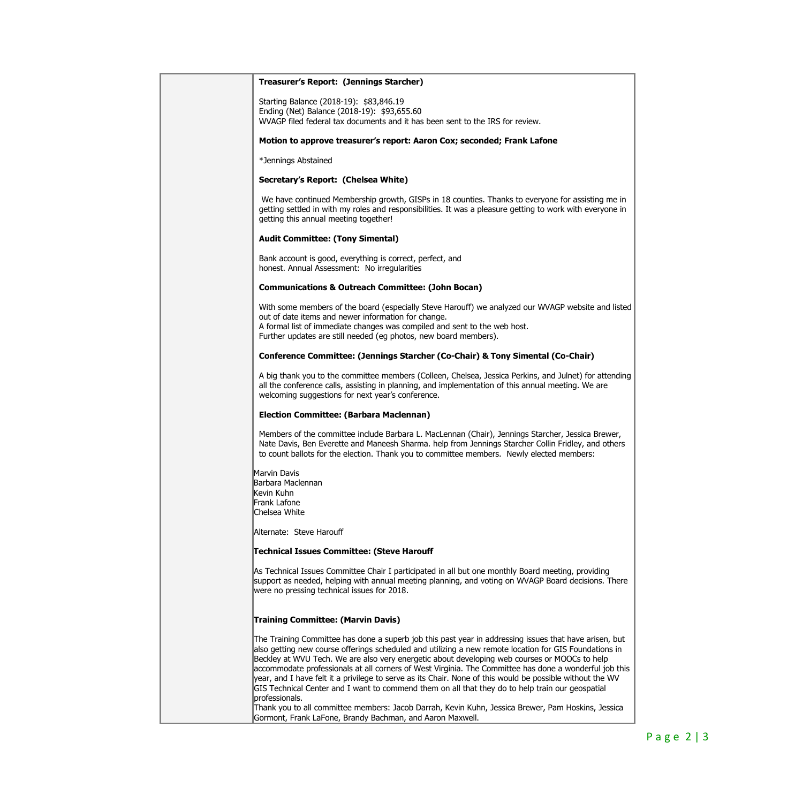| Treasurer's Report: (Jennings Starcher)                                                                                                                                                                                                                                                                                                                                                                                                                                                                                                                                                                                                                        |  |  |  |  |
|----------------------------------------------------------------------------------------------------------------------------------------------------------------------------------------------------------------------------------------------------------------------------------------------------------------------------------------------------------------------------------------------------------------------------------------------------------------------------------------------------------------------------------------------------------------------------------------------------------------------------------------------------------------|--|--|--|--|
| Starting Balance (2018-19): \$83,846.19<br>Ending (Net) Balance (2018-19): \$93,655.60<br>WVAGP filed federal tax documents and it has been sent to the IRS for review.                                                                                                                                                                                                                                                                                                                                                                                                                                                                                        |  |  |  |  |
| Motion to approve treasurer's report: Aaron Cox; seconded; Frank Lafone                                                                                                                                                                                                                                                                                                                                                                                                                                                                                                                                                                                        |  |  |  |  |
| *Jennings Abstained                                                                                                                                                                                                                                                                                                                                                                                                                                                                                                                                                                                                                                            |  |  |  |  |
| Secretary's Report: (Chelsea White)                                                                                                                                                                                                                                                                                                                                                                                                                                                                                                                                                                                                                            |  |  |  |  |
| We have continued Membership growth, GISPs in 18 counties. Thanks to everyone for assisting me in<br>getting settled in with my roles and responsibilities. It was a pleasure getting to work with everyone in<br>getting this annual meeting together!                                                                                                                                                                                                                                                                                                                                                                                                        |  |  |  |  |
| <b>Audit Committee: (Tony Simental)</b>                                                                                                                                                                                                                                                                                                                                                                                                                                                                                                                                                                                                                        |  |  |  |  |
| Bank account is good, everything is correct, perfect, and<br>honest. Annual Assessment: No irregularities                                                                                                                                                                                                                                                                                                                                                                                                                                                                                                                                                      |  |  |  |  |
| <b>Communications &amp; Outreach Committee: (John Bocan)</b>                                                                                                                                                                                                                                                                                                                                                                                                                                                                                                                                                                                                   |  |  |  |  |
| With some members of the board (especially Steve Harouff) we analyzed our WVAGP website and listed<br>out of date items and newer information for change.<br>A formal list of immediate changes was compiled and sent to the web host.<br>Further updates are still needed (eg photos, new board members).                                                                                                                                                                                                                                                                                                                                                     |  |  |  |  |
| Conference Committee: (Jennings Starcher (Co-Chair) & Tony Simental (Co-Chair)                                                                                                                                                                                                                                                                                                                                                                                                                                                                                                                                                                                 |  |  |  |  |
| A big thank you to the committee members (Colleen, Chelsea, Jessica Perkins, and Julnet) for attending<br>all the conference calls, assisting in planning, and implementation of this annual meeting. We are<br>welcoming suggestions for next year's conference.                                                                                                                                                                                                                                                                                                                                                                                              |  |  |  |  |
| Election Committee: (Barbara Maclennan)                                                                                                                                                                                                                                                                                                                                                                                                                                                                                                                                                                                                                        |  |  |  |  |
| Members of the committee include Barbara L. MacLennan (Chair), Jennings Starcher, Jessica Brewer,<br>Nate Davis, Ben Everette and Maneesh Sharma. help from Jennings Starcher Collin Fridley, and others<br>to count ballots for the election. Thank you to committee members. Newly elected members:                                                                                                                                                                                                                                                                                                                                                          |  |  |  |  |
| Marvin Davis<br>Barbara Maclennan                                                                                                                                                                                                                                                                                                                                                                                                                                                                                                                                                                                                                              |  |  |  |  |
| Kevin Kuhn<br>Frank Lafone                                                                                                                                                                                                                                                                                                                                                                                                                                                                                                                                                                                                                                     |  |  |  |  |
| Chelsea White                                                                                                                                                                                                                                                                                                                                                                                                                                                                                                                                                                                                                                                  |  |  |  |  |
| Alternate: Steve Harouff                                                                                                                                                                                                                                                                                                                                                                                                                                                                                                                                                                                                                                       |  |  |  |  |
| Technical Issues Committee: (Steve Harouff                                                                                                                                                                                                                                                                                                                                                                                                                                                                                                                                                                                                                     |  |  |  |  |
| As Technical Issues Committee Chair I participated in all but one monthly Board meeting, providing<br>support as needed, helping with annual meeting planning, and voting on WVAGP Board decisions. There<br>were no pressing technical issues for 2018.                                                                                                                                                                                                                                                                                                                                                                                                       |  |  |  |  |
| <b>Training Committee: (Marvin Davis)</b>                                                                                                                                                                                                                                                                                                                                                                                                                                                                                                                                                                                                                      |  |  |  |  |
| The Training Committee has done a superb job this past year in addressing issues that have arisen, but<br>also getting new course offerings scheduled and utilizing a new remote location for GIS Foundations in<br>Beckley at WVU Tech. We are also very energetic about developing web courses or MOOCs to help<br>accommodate professionals at all corners of West Virginia. The Committee has done a wonderful job this<br>year, and I have felt it a privilege to serve as its Chair. None of this would be possible without the WV<br>GIS Technical Center and I want to commend them on all that they do to help train our geospatial<br>professionals. |  |  |  |  |
| Thank you to all committee members: Jacob Darrah, Kevin Kuhn, Jessica Brewer, Pam Hoskins, Jessica<br>Gormont, Frank LaFone, Brandy Bachman, and Aaron Maxwell.                                                                                                                                                                                                                                                                                                                                                                                                                                                                                                |  |  |  |  |